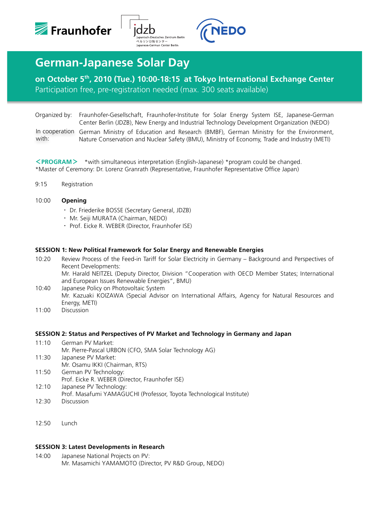





# **German-Japanese Solar Day**

# **on October 5th, 2010 (Tue.) 10:00-18:15 at Tokyo International Exchange Center**  Participation free, pre-registration needed (max. 300 seats available)

Organized by: Fraunhofer-Gesellschaft, Fraunhofer-Institute for Solar Energy System ISE, Japanese-German Center Berlin (JDZB), New Energy and Industrial Technology Development Organization (NEDO)

In cooperation German Ministry of Education and Research (BMBF), German Ministry for the Environment, Nature Conservation and Nuclear Safety (BMU), Ministry of Economy, Trade and Industry (METI) with:

<**PROGRAM**> \*with simultaneous interpretation (English-Japanese) \*program could be changed. \*Master of Ceremony: Dr. Lorenz Granrath (Representative, Fraunhofer Representative Office Japan)

9:15 Registration

# 10:00 **Opening**

- ・ Dr. Friederike BOSSE (Secretary General, JDZB)
- ・ Mr. Seiji MURATA (Chairman, NEDO)
- ・ Prof. Eicke R. WEBER (Director, Fraunhofer ISE)

#### **SESSION 1: New Political Framework for Solar Energy and Renewable Energies**

10:20 Review Process of the Feed-in Tariff for Solar Electricity in Germany – Background and Perspectives of Recent Developments: Mr. Harald NEITZEL (Deputy Director, Division "Cooperation with OECD Member States; International and European Issues Renewable Energies", BMU)

10:40 Japanese Policy on Photovoltaic System Mr. Kazuaki KOIZAWA (Special Advisor on International Affairs, Agency for Natural Resources and Energy, METI)

11:00 Discussion

#### **SESSION 2: Status and Perspectives of PV Market and Technology in Germany and Japan**

- 11:10 German PV Market: Mr. Pierre-Pascal URBON (CFO, SMA Solar Technology AG) 11:30 Japanese PV Market:
- Mr. Osamu IKKI (Chairman, RTS)
- 11:50 German PV Technology:
- Prof. Eicke R. WEBER (Director, Fraunhofer ISE)
- 12:10 Japanese PV Technology:
- Prof. Masafumi YAMAGUCHI (Professor, Toyota Technological Institute)
- 12:30 Discussion
- 12:50 Lunch

#### **SESSION 3: Latest Developments in Research**

14:00 Japanese National Projects on PV: Mr. Masamichi YAMAMOTO (Director, PV R&D Group, NEDO)